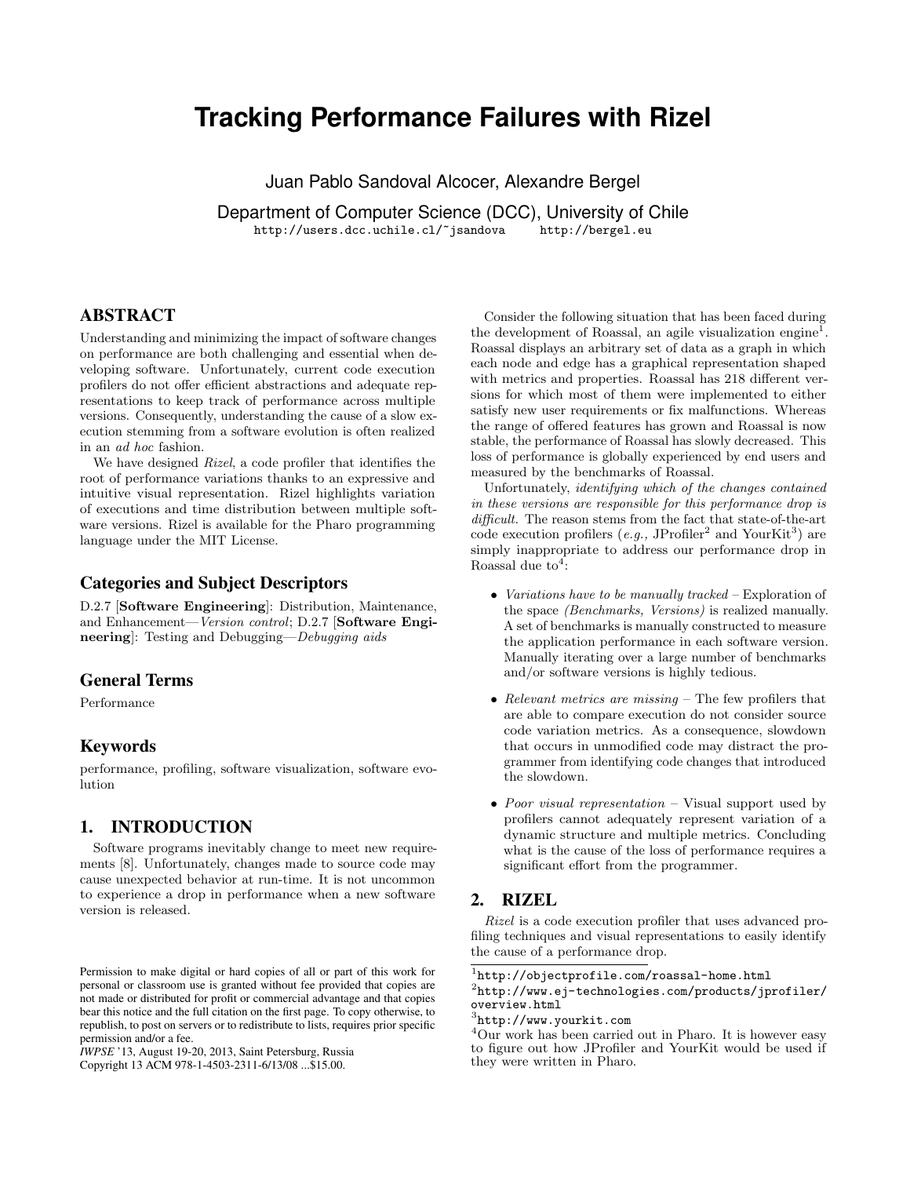# **Tracking Performance Failures with Rizel**

Juan Pablo Sandoval Alcocer, Alexandre Bergel

Department of Computer Science (DCC), University of Chile <http://users.dcc.uchile.cl/~jsandova> <http://bergel.eu>

# ABSTRACT

Understanding and minimizing the impact of software changes on performance are both challenging and essential when developing software. Unfortunately, current code execution profilers do not offer efficient abstractions and adequate representations to keep track of performance across multiple versions. Consequently, understanding the cause of a slow execution stemming from a software evolution is often realized in an ad hoc fashion.

We have designed *Rizel*, a code profiler that identifies the root of performance variations thanks to an expressive and intuitive visual representation. Rizel highlights variation of executions and time distribution between multiple software versions. Rizel is available for the Pharo programming language under the MIT License.

## Categories and Subject Descriptors

D.2.7 [Software Engineering]: Distribution, Maintenance, and Enhancement—Version control; D.2.7 [Software Engineering]: Testing and Debugging—Debugging aids

# General Terms

Performance

## Keywords

performance, profiling, software visualization, software evolution

### 1. INTRODUCTION

Software programs inevitably change to meet new requirements [\[8\]](#page-4-0). Unfortunately, changes made to source code may cause unexpected behavior at run-time. It is not uncommon to experience a drop in performance when a new software version is released.

Copyright 13 ACM 978-1-4503-2311-6/13/08 ...\$15.00.

Consider the following situation that has been faced during the development of Roassal, an agile visualization engine<sup>[1](#page-0-0)</sup>. Roassal displays an arbitrary set of data as a graph in which each node and edge has a graphical representation shaped with metrics and properties. Roassal has 218 different versions for which most of them were implemented to either satisfy new user requirements or fix malfunctions. Whereas the range of offered features has grown and Roassal is now stable, the performance of Roassal has slowly decreased. This loss of performance is globally experienced by end users and measured by the benchmarks of Roassal.

Unfortunately, identifying which of the changes contained in these versions are responsible for this performance drop is difficult. The reason stems from the fact that state-of-the-art code execution profilers  $(e.g., JProfller<sup>2</sup> and YourKit<sup>3</sup>)$  $(e.g., JProfller<sup>2</sup> and YourKit<sup>3</sup>)$  $(e.g., JProfller<sup>2</sup> and YourKit<sup>3</sup>)$  $(e.g., JProfller<sup>2</sup> and YourKit<sup>3</sup>)$  $(e.g., JProfller<sup>2</sup> and YourKit<sup>3</sup>)$  are simply inappropriate to address our performance drop in Roassal due  $to^4$  $to^4$ :

- Variations have to be manually tracked Exploration of the space (Benchmarks, Versions) is realized manually. A set of benchmarks is manually constructed to measure the application performance in each software version. Manually iterating over a large number of benchmarks and/or software versions is highly tedious.
- Relevant metrics are missing  $-$  The few profilers that are able to compare execution do not consider source code variation metrics. As a consequence, slowdown that occurs in unmodified code may distract the programmer from identifying code changes that introduced the slowdown.
- Poor visual representation  $\overline{ }$  Visual support used by profilers cannot adequately represent variation of a dynamic structure and multiple metrics. Concluding what is the cause of the loss of performance requires a significant effort from the programmer.

#### 2. RIZEL

Rizel is a code execution profiler that uses advanced profiling techniques and visual representations to easily identify the cause of a performance drop.

Permission to make digital or hard copies of all or part of this work for personal or classroom use is granted without fee provided that copies are not made or distributed for profit or commercial advantage and that copies bear this notice and the full citation on the first page. To copy otherwise, to republish, to post on servers or to redistribute to lists, requires prior specific permission and/or a fee.

*IWPSE* '13, August 19-20, 2013, Saint Petersburg, Russia

<span id="page-0-0"></span> $^{1}$ <http://objectprofile.com/roassal-home.html>

<span id="page-0-1"></span> $^{2}$ [http://www.ej-technologies.com/products/jprofiler/](http://www.ej-technologies.com/products/jprofiler/overview.html) [overview.html](http://www.ej-technologies.com/products/jprofiler/overview.html)

<span id="page-0-2"></span> $^3$ <http://www.yourkit.com>

<span id="page-0-3"></span><sup>4</sup>Our work has been carried out in Pharo. It is however easy to figure out how JProfiler and YourKit would be used if they were written in Pharo.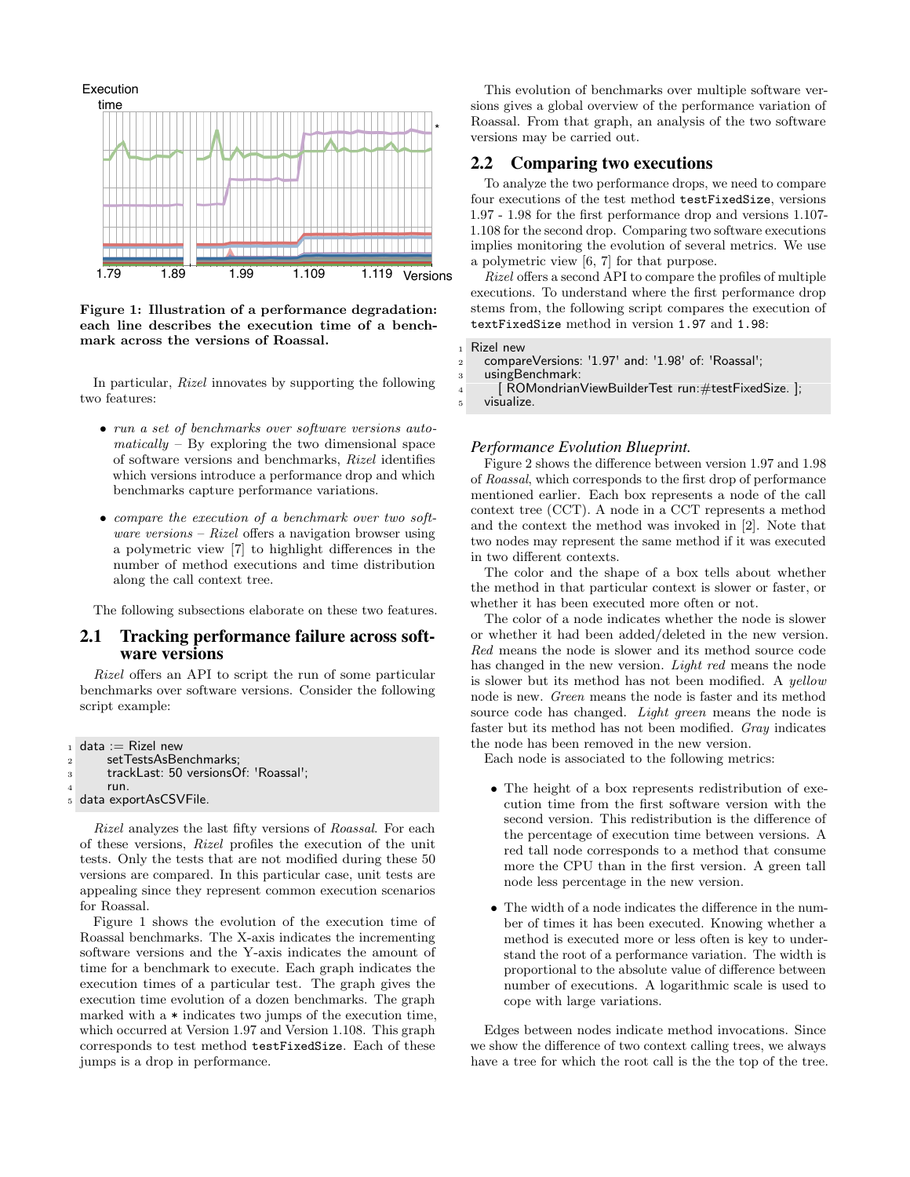<span id="page-1-0"></span>

Figure 1: Illustration of a performance degradation: each line describes the execution time of a benchmark across the versions of Roassal.

In particular, Rizel innovates by supporting the following two features:

- run a set of benchmarks over software versions auto $matically - By exploring the two dimensional space$ of software versions and benchmarks, Rizel identifies which versions introduce a performance drop and which benchmarks capture performance variations.
- compare the execution of a benchmark over two software versions – Rizel offers a navigation browser using a polymetric view [\[7\]](#page-4-1) to highlight differences in the number of method executions and time distribution along the call context tree.

The following subsections elaborate on these two features.

#### 2.1 Tracking performance failure across software versions

Rizel offers an API to script the run of some particular benchmarks over software versions. Consider the following script example:

```
_1 data := Rizel new
2 setTestsAsBenchmarks;
3 trackLast: 50 versionsOf: 'Roassal';
      run.
5 data exportAsCSVFile.
```
Rizel analyzes the last fifty versions of Roassal. For each of these versions, Rizel profiles the execution of the unit tests. Only the tests that are not modified during these 50 versions are compared. In this particular case, unit tests are appealing since they represent common execution scenarios for Roassal.

Figure [1](#page-1-0) shows the evolution of the execution time of Roassal benchmarks. The X-axis indicates the incrementing software versions and the Y-axis indicates the amount of time for a benchmark to execute. Each graph indicates the execution times of a particular test. The graph gives the execution time evolution of a dozen benchmarks. The graph marked with a \* indicates two jumps of the execution time, which occurred at Version 1.97 and Version 1.108. This graph corresponds to test method testFixedSize. Each of these jumps is a drop in performance.

This evolution of benchmarks over multiple software versions gives a global overview of the performance variation of Roassal. From that graph, an analysis of the two software versions may be carried out.

#### 2.2 Comparing two executions

To analyze the two performance drops, we need to compare four executions of the test method testFixedSize, versions 1.97 - 1.98 for the first performance drop and versions 1.107- 1.108 for the second drop. Comparing two software executions implies monitoring the evolution of several metrics. We use a polymetric view [\[6,](#page-4-2) [7\]](#page-4-1) for that purpose.

Rizel offers a second API to compare the profiles of multiple executions. To understand where the first performance drop stems from, the following script compares the execution of textFixedSize method in version 1.97 and 1.98:

```
Rizel new
```

```
2 compareVersions: '1.97' and: '1.98' of: 'Roassal';
```

```
usingBenchmark:
```

```
4 [ ROMondrianViewBuilderTest run:#testFixedSize. ];
```

```
visualize.
```
#### *Performance Evolution Blueprint.*

Figure [2](#page-2-0) shows the difference between version 1.97 and 1.98 of Roassal, which corresponds to the first drop of performance mentioned earlier. Each box represents a node of the call context tree (CCT). A node in a CCT represents a method and the context the method was invoked in [\[2\]](#page-4-3). Note that two nodes may represent the same method if it was executed in two different contexts.

The color and the shape of a box tells about whether the method in that particular context is slower or faster, or whether it has been executed more often or not.

The color of a node indicates whether the node is slower or whether it had been added/deleted in the new version. Red means the node is slower and its method source code has changed in the new version. *Light red* means the node is slower but its method has not been modified. A yellow node is new. Green means the node is faster and its method source code has changed. Light green means the node is faster but its method has not been modified. Gray indicates the node has been removed in the new version.

Each node is associated to the following metrics:

- The height of a box represents redistribution of execution time from the first software version with the second version. This redistribution is the difference of the percentage of execution time between versions. A red tall node corresponds to a method that consume more the CPU than in the first version. A green tall node less percentage in the new version.
- The width of a node indicates the difference in the number of times it has been executed. Knowing whether a method is executed more or less often is key to understand the root of a performance variation. The width is proportional to the absolute value of difference between number of executions. A logarithmic scale is used to cope with large variations.

Edges between nodes indicate method invocations. Since we show the difference of two context calling trees, we always have a tree for which the root call is the the top of the tree.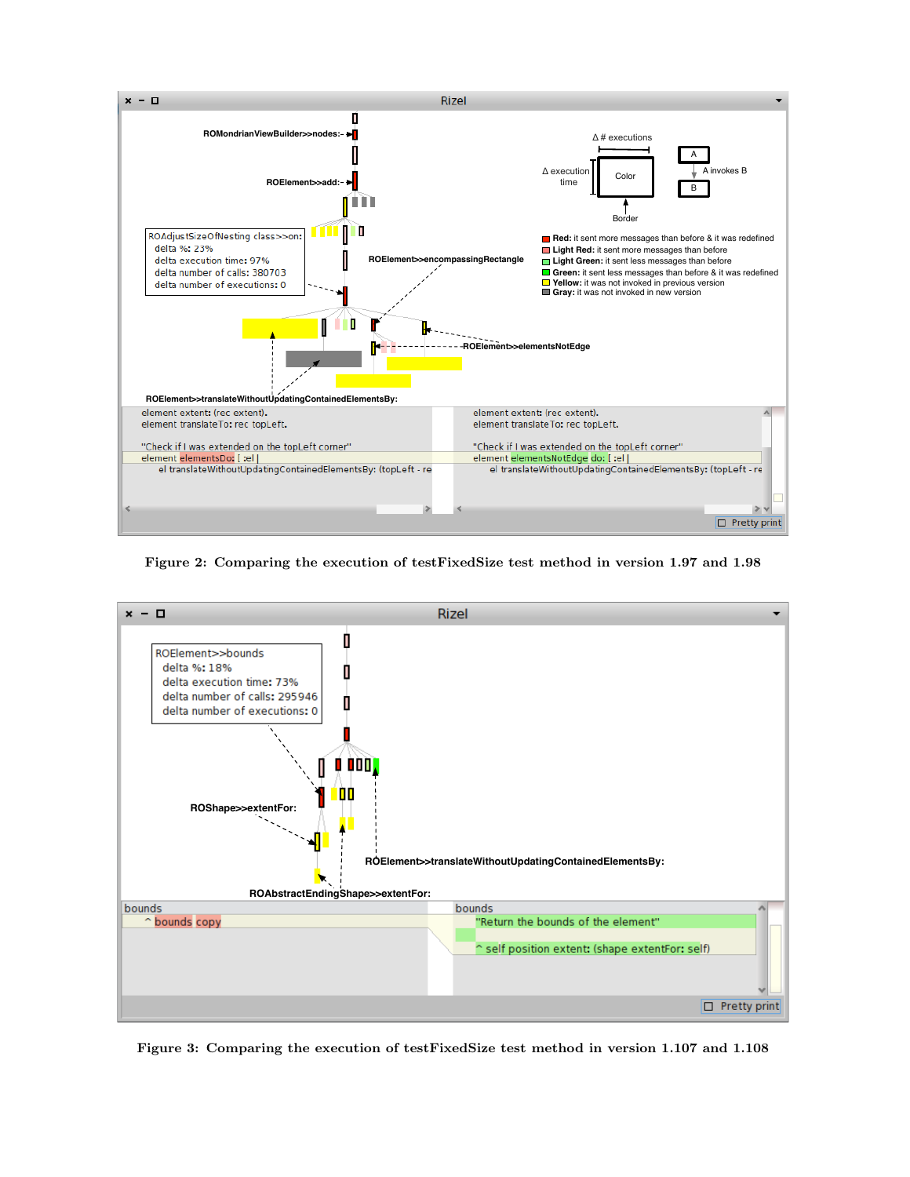<span id="page-2-0"></span>

Figure 2: Comparing the execution of testFixedSize test method in version 1.97 and 1.98

<span id="page-2-1"></span>

Figure 3: Comparing the execution of testFixedSize test method in version 1.107 and 1.108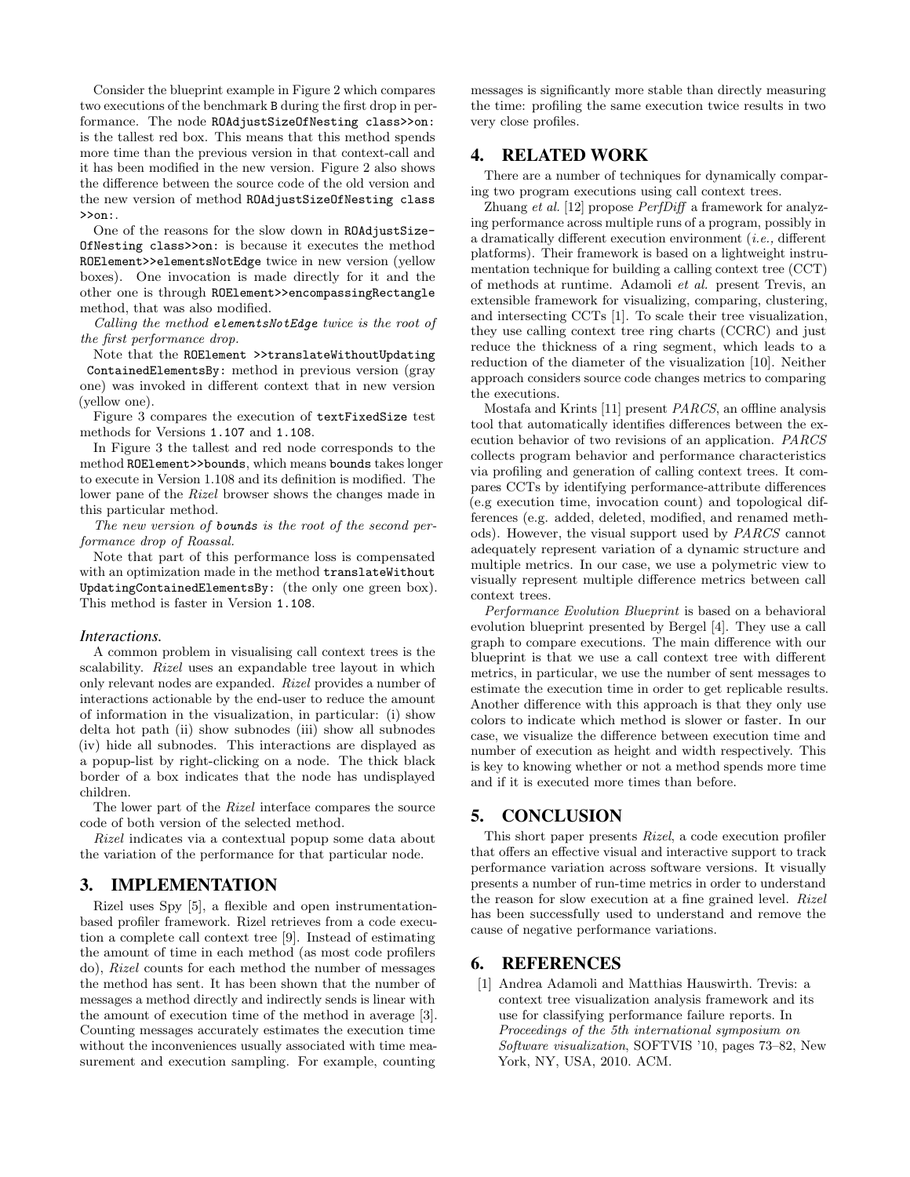Consider the blueprint example in Figure [2](#page-2-0) which compares two executions of the benchmark B during the first drop in performance. The node ROAdjustSizeOfNesting class>>on: is the tallest red box. This means that this method spends more time than the previous version in that context-call and it has been modified in the new version. Figure [2](#page-2-0) also shows the difference between the source code of the old version and the new version of method ROAdjustSizeOfNesting class >>on:.

One of the reasons for the slow down in ROAdjustSize-OfNesting class>>on: is because it executes the method ROElement>>elementsNotEdge twice in new version (yellow boxes). One invocation is made directly for it and the other one is through ROElement>>encompassingRectangle method, that was also modified.

Calling the method elementsNotEdge twice is the root of the first performance drop.

Note that the ROElement >>translateWithoutUpdating ContainedElementsBy: method in previous version (gray one) was invoked in different context that in new version (yellow one).

Figure [3](#page-2-1) compares the execution of textFixedSize test methods for Versions 1.107 and 1.108.

In Figure [3](#page-2-1) the tallest and red node corresponds to the method ROElement>>bounds, which means bounds takes longer to execute in Version 1.108 and its definition is modified. The lower pane of the Rizel browser shows the changes made in this particular method.

The new version of **bounds** is the root of the second performance drop of Roassal.

Note that part of this performance loss is compensated with an optimization made in the method translateWithout UpdatingContainedElementsBy: (the only one green box). This method is faster in Version 1.108.

#### *Interactions.*

A common problem in visualising call context trees is the scalability. Rizel uses an expandable tree layout in which only relevant nodes are expanded. Rizel provides a number of interactions actionable by the end-user to reduce the amount of information in the visualization, in particular: (i) show delta hot path (ii) show subnodes (iii) show all subnodes (iv) hide all subnodes. This interactions are displayed as a popup-list by right-clicking on a node. The thick black border of a box indicates that the node has undisplayed children.

The lower part of the Rizel interface compares the source code of both version of the selected method.

Rizel indicates via a contextual popup some data about the variation of the performance for that particular node.

#### 3. IMPLEMENTATION

Rizel uses Spy [\[5\]](#page-4-4), a flexible and open instrumentationbased profiler framework. Rizel retrieves from a code execution a complete call context tree [\[9\]](#page-4-5). Instead of estimating the amount of time in each method (as most code profilers do), Rizel counts for each method the number of messages the method has sent. It has been shown that the number of messages a method directly and indirectly sends is linear with the amount of execution time of the method in average [\[3\]](#page-4-6). Counting messages accurately estimates the execution time without the inconveniences usually associated with time measurement and execution sampling. For example, counting messages is significantly more stable than directly measuring the time: profiling the same execution twice results in two very close profiles.

## 4. RELATED WORK

There are a number of techniques for dynamically comparing two program executions using call context trees.

Zhuang et al. [\[12\]](#page-4-7) propose PerfDiff a framework for analyzing performance across multiple runs of a program, possibly in a dramatically different execution environment (i.e., different platforms). Their framework is based on a lightweight instrumentation technique for building a calling context tree (CCT) of methods at runtime. Adamoli et al. present Trevis, an extensible framework for visualizing, comparing, clustering, and intersecting CCTs [\[1\]](#page-3-0). To scale their tree visualization, they use calling context tree ring charts (CCRC) and just reduce the thickness of a ring segment, which leads to a reduction of the diameter of the visualization [\[10\]](#page-4-8). Neither approach considers source code changes metrics to comparing the executions.

Mostafa and Krints [\[11\]](#page-4-9) present PARCS, an offline analysis tool that automatically identifies differences between the execution behavior of two revisions of an application. PARCS collects program behavior and performance characteristics via profiling and generation of calling context trees. It compares CCTs by identifying performance-attribute differences (e.g execution time, invocation count) and topological differences (e.g. added, deleted, modified, and renamed methods). However, the visual support used by PARCS cannot adequately represent variation of a dynamic structure and multiple metrics. In our case, we use a polymetric view to visually represent multiple difference metrics between call context trees.

Performance Evolution Blueprint is based on a behavioral evolution blueprint presented by Bergel [\[4\]](#page-4-10). They use a call graph to compare executions. The main difference with our blueprint is that we use a call context tree with different metrics, in particular, we use the number of sent messages to estimate the execution time in order to get replicable results. Another difference with this approach is that they only use colors to indicate which method is slower or faster. In our case, we visualize the difference between execution time and number of execution as height and width respectively. This is key to knowing whether or not a method spends more time and if it is executed more times than before.

## 5. CONCLUSION

This short paper presents Rizel, a code execution profiler that offers an effective visual and interactive support to track performance variation across software versions. It visually presents a number of run-time metrics in order to understand the reason for slow execution at a fine grained level. Rizel has been successfully used to understand and remove the cause of negative performance variations.

## 6. REFERENCES

<span id="page-3-0"></span>[1] Andrea Adamoli and Matthias Hauswirth. Trevis: a context tree visualization analysis framework and its use for classifying performance failure reports. In Proceedings of the 5th international symposium on Software visualization, SOFTVIS '10, pages 73–82, New York, NY, USA, 2010. ACM.